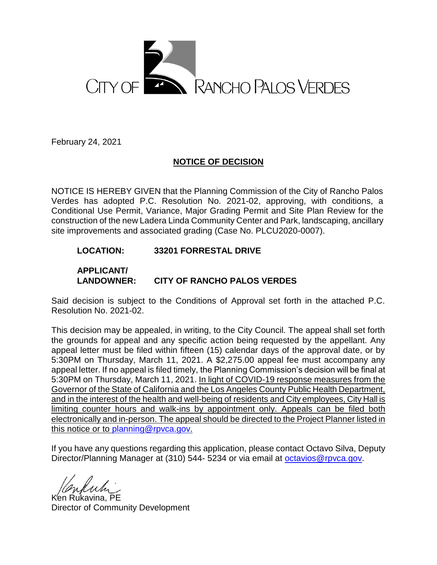

February 24, 2021

# **NOTICE OF DECISION**

NOTICE IS HEREBY GIVEN that the Planning Commission of the City of Rancho Palos Verdes has adopted P.C. Resolution No. 2021-02, approving, with conditions, a Conditional Use Permit, Variance, Major Grading Permit and Site Plan Review for the construction of the new Ladera Linda Community Center and Park, landscaping, ancillary site improvements and associated grading (Case No. PLCU2020-0007).

# **LOCATION: 33201 FORRESTAL DRIVE**

**APPLICANT/**

# **LANDOWNER: CITY OF RANCHO PALOS VERDES**

Said decision is subject to the Conditions of Approval set forth in the attached P.C. Resolution No. 2021-02.

This decision may be appealed, in writing, to the City Council. The appeal shall set forth the grounds for appeal and any specific action being requested by the appellant. Any appeal letter must be filed within fifteen (15) calendar days of the approval date, or by 5:30PM on Thursday, March 11, 2021. A \$2,275.00 appeal fee must accompany any appeal letter. If no appeal is filed timely, the Planning Commission's decision will be final at 5:30PM on Thursday, March 11, 2021. In light of COVID-19 response measures from the Governor of the State of California and the Los Angeles County Public Health Department, and in the interest of the health and well-being of residents and City employees, City Hall is limiting counter hours and walk-ins by appointment only. Appeals can be filed both electronically and in-person. The appeal should be directed to the Project Planner listed in this notice or to [planning@rpvca.gov.](mailto:planning@rpvca.gov)

If you have any questions regarding this application, please contact Octavo Silva, Deputy Director/Planning Manager at (310) 544-5234 or via email at [octavios@rpvca.gov.](mailto:octavios@rpvca.gov)

Ken Rukavina, PE Director of Community Development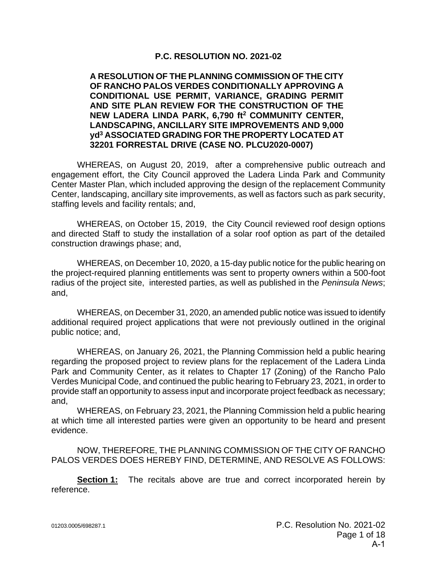# **P.C. RESOLUTION NO. 2021-02**

### **A RESOLUTION OF THE PLANNING COMMISSION OF THE CITY OF RANCHO PALOS VERDES CONDITIONALLY APPROVING A CONDITIONAL USE PERMIT, VARIANCE, GRADING PERMIT AND SITE PLAN REVIEW FOR THE CONSTRUCTION OF THE NEW LADERA LINDA PARK, 6,790 ft<sup>2</sup> COMMUNITY CENTER, LANDSCAPING, ANCILLARY SITE IMPROVEMENTS AND 9,000 yd<sup>3</sup> ASSOCIATED GRADING FOR THE PROPERTY LOCATED AT 32201 FORRESTAL DRIVE (CASE NO. PLCU2020-0007)**

WHEREAS, on August 20, 2019, after a comprehensive public outreach and engagement effort, the City Council approved the Ladera Linda Park and Community Center Master Plan, which included approving the design of the replacement Community Center, landscaping, ancillary site improvements, as well as factors such as park security, staffing levels and facility rentals; and,

WHEREAS, on October 15, 2019, the City Council reviewed roof design options and directed Staff to study the installation of a solar roof option as part of the detailed construction drawings phase; and,

WHEREAS, on December 10, 2020, a 15-day public notice for the public hearing on the project-required planning entitlements was sent to property owners within a 500-foot radius of the project site, interested parties, as well as published in the *Peninsula News*; and,

WHEREAS, on December 31, 2020, an amended public notice was issued to identify additional required project applications that were not previously outlined in the original public notice; and,

WHEREAS, on January 26, 2021, the Planning Commission held a public hearing regarding the proposed project to review plans for the replacement of the Ladera Linda Park and Community Center, as it relates to Chapter 17 (Zoning) of the Rancho Palo Verdes Municipal Code, and continued the public hearing to February 23, 2021, in order to provide staff an opportunity to assess input and incorporate project feedback as necessary; and,

WHEREAS, on February 23, 2021, the Planning Commission held a public hearing at which time all interested parties were given an opportunity to be heard and present evidence.

NOW, THEREFORE, THE PLANNING COMMISSION OF THE CITY OF RANCHO PALOS VERDES DOES HEREBY FIND, DETERMINE, AND RESOLVE AS FOLLOWS:

**Section 1:** The recitals above are true and correct incorporated herein by reference.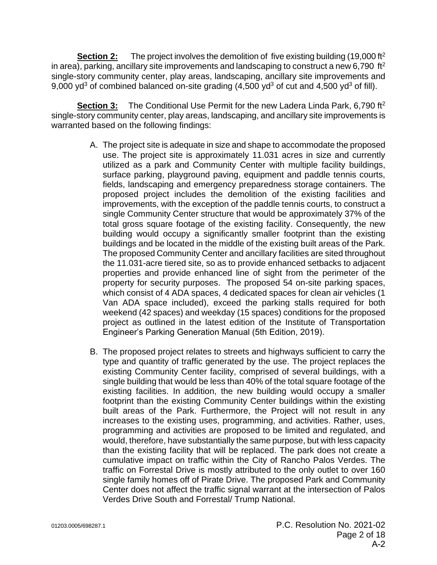**Section 2:** The project involves the demolition of five existing building (19,000 ft<sup>2</sup>) in area), parking, ancillary site improvements and landscaping to construct a new 6,790 ft<sup>2</sup> single-story community center, play areas, landscaping, ancillary site improvements and 9,000 yd<sup>3</sup> of combined balanced on-site grading  $(4,500 \text{ yd}^3 \text{ of cut and } 4,500 \text{ yd}^3 \text{ of fill}).$ 

Section 3: The Conditional Use Permit for the new Ladera Linda Park, 6,790 ft<sup>2</sup> single-story community center, play areas, landscaping, and ancillary site improvements is warranted based on the following findings:

- A. The project site is adequate in size and shape to accommodate the proposed use. The project site is approximately 11.031 acres in size and currently utilized as a park and Community Center with multiple facility buildings, surface parking, playground paving, equipment and paddle tennis courts, fields, landscaping and emergency preparedness storage containers. The proposed project includes the demolition of the existing facilities and improvements, with the exception of the paddle tennis courts, to construct a single Community Center structure that would be approximately 37% of the total gross square footage of the existing facility. Consequently, the new building would occupy a significantly smaller footprint than the existing buildings and be located in the middle of the existing built areas of the Park. The proposed Community Center and ancillary facilities are sited throughout the 11.031-acre tiered site, so as to provide enhanced setbacks to adjacent properties and provide enhanced line of sight from the perimeter of the property for security purposes. The proposed 54 on-site parking spaces, which consist of 4 ADA spaces, 4 dedicated spaces for clean air vehicles (1 Van ADA space included), exceed the parking stalls required for both weekend (42 spaces) and weekday (15 spaces) conditions for the proposed project as outlined in the latest edition of the Institute of Transportation Engineer's Parking Generation Manual (5th Edition, 2019).
- B. The proposed project relates to streets and highways sufficient to carry the type and quantity of traffic generated by the use. The project replaces the existing Community Center facility, comprised of several buildings, with a single building that would be less than 40% of the total square footage of the existing facilities. In addition, the new building would occupy a smaller footprint than the existing Community Center buildings within the existing built areas of the Park. Furthermore, the Project will not result in any increases to the existing uses, programming, and activities. Rather, uses, programming and activities are proposed to be limited and regulated, and would, therefore, have substantially the same purpose, but with less capacity than the existing facility that will be replaced. The park does not create a cumulative impact on traffic within the City of Rancho Palos Verdes. The traffic on Forrestal Drive is mostly attributed to the only outlet to over 160 single family homes off of Pirate Drive. The proposed Park and Community Center does not affect the traffic signal warrant at the intersection of Palos Verdes Drive South and Forrestal/ Trump National.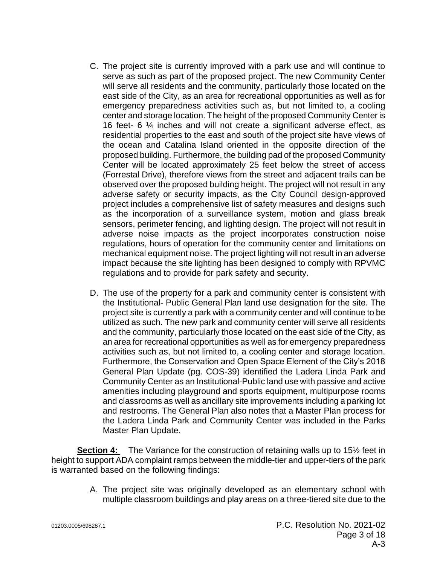- C. The project site is currently improved with a park use and will continue to serve as such as part of the proposed project. The new Community Center will serve all residents and the community, particularly those located on the east side of the City, as an area for recreational opportunities as well as for emergency preparedness activities such as, but not limited to, a cooling center and storage location. The height of the proposed Community Center is 16 feet- 6 ¼ inches and will not create a significant adverse effect, as residential properties to the east and south of the project site have views of the ocean and Catalina Island oriented in the opposite direction of the proposed building. Furthermore, the building pad of the proposed Community Center will be located approximately 25 feet below the street of access (Forrestal Drive), therefore views from the street and adjacent trails can be observed over the proposed building height. The project will not result in any adverse safety or security impacts, as the City Council design-approved project includes a comprehensive list of safety measures and designs such as the incorporation of a surveillance system, motion and glass break sensors, perimeter fencing, and lighting design. The project will not result in adverse noise impacts as the project incorporates construction noise regulations, hours of operation for the community center and limitations on mechanical equipment noise. The project lighting will not result in an adverse impact because the site lighting has been designed to comply with RPVMC regulations and to provide for park safety and security.
- D. The use of the property for a park and community center is consistent with the Institutional- Public General Plan land use designation for the site. The project site is currently a park with a community center and will continue to be utilized as such. The new park and community center will serve all residents and the community, particularly those located on the east side of the City, as an area for recreational opportunities as well as for emergency preparedness activities such as, but not limited to, a cooling center and storage location. Furthermore, the Conservation and Open Space Element of the City's 2018 General Plan Update (pg. COS-39) identified the Ladera Linda Park and Community Center as an Institutional-Public land use with passive and active amenities including playground and sports equipment, multipurpose rooms and classrooms as well as ancillary site improvements including a parking lot and restrooms. The General Plan also notes that a Master Plan process for the Ladera Linda Park and Community Center was included in the Parks Master Plan Update.

**Section 4:** The Variance for the construction of retaining walls up to 15<sup>1/2</sup> feet in height to support ADA complaint ramps between the middle-tier and upper-tiers of the park is warranted based on the following findings:

> A. The project site was originally developed as an elementary school with multiple classroom buildings and play areas on a three-tiered site due to the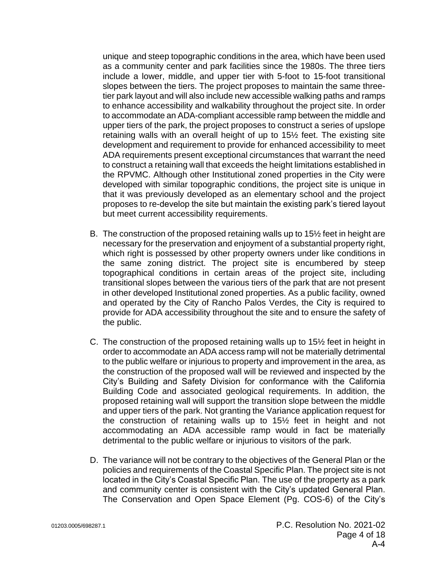unique and steep topographic conditions in the area, which have been used as a community center and park facilities since the 1980s. The three tiers include a lower, middle, and upper tier with 5-foot to 15-foot transitional slopes between the tiers. The project proposes to maintain the same threetier park layout and will also include new accessible walking paths and ramps to enhance accessibility and walkability throughout the project site. In order to accommodate an ADA-compliant accessible ramp between the middle and upper tiers of the park, the project proposes to construct a series of upslope retaining walls with an overall height of up to 15½ feet. The existing site development and requirement to provide for enhanced accessibility to meet ADA requirements present exceptional circumstances that warrant the need to construct a retaining wall that exceeds the height limitations established in the RPVMC. Although other Institutional zoned properties in the City were developed with similar topographic conditions, the project site is unique in that it was previously developed as an elementary school and the project proposes to re-develop the site but maintain the existing park's tiered layout but meet current accessibility requirements.

- B. The construction of the proposed retaining walls up to 15½ feet in height are necessary for the preservation and enjoyment of a substantial property right, which right is possessed by other property owners under like conditions in the same zoning district. The project site is encumbered by steep topographical conditions in certain areas of the project site, including transitional slopes between the various tiers of the park that are not present in other developed Institutional zoned properties. As a public facility, owned and operated by the City of Rancho Palos Verdes, the City is required to provide for ADA accessibility throughout the site and to ensure the safety of the public.
- C. The construction of the proposed retaining walls up to 15½ feet in height in order to accommodate an ADA access ramp will not be materially detrimental to the public welfare or injurious to property and improvement in the area, as the construction of the proposed wall will be reviewed and inspected by the City's Building and Safety Division for conformance with the California Building Code and associated geological requirements. In addition, the proposed retaining wall will support the transition slope between the middle and upper tiers of the park. Not granting the Variance application request for the construction of retaining walls up to 15½ feet in height and not accommodating an ADA accessible ramp would in fact be materially detrimental to the public welfare or injurious to visitors of the park.
- D. The variance will not be contrary to the objectives of the General Plan or the policies and requirements of the Coastal Specific Plan. The project site is not located in the City's Coastal Specific Plan. The use of the property as a park and community center is consistent with the City's updated General Plan. The Conservation and Open Space Element (Pg. COS-6) of the City's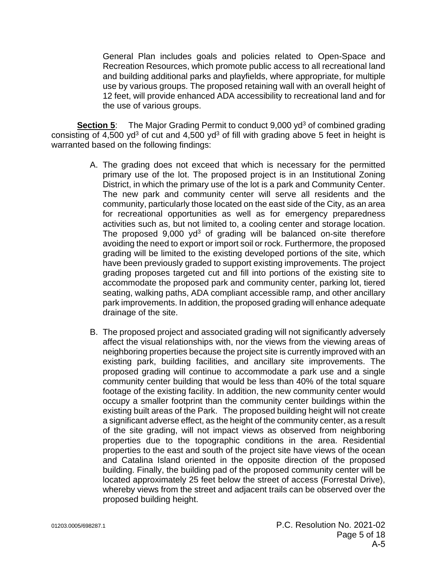General Plan includes goals and policies related to Open-Space and Recreation Resources, which promote public access to all recreational land and building additional parks and playfields, where appropriate, for multiple use by various groups. The proposed retaining wall with an overall height of 12 feet, will provide enhanced ADA accessibility to recreational land and for the use of various groups.

**Section 5:** The Major Grading Permit to conduct 9,000 yd<sup>3</sup> of combined grading consisting of  $4,500$  yd<sup>3</sup> of cut and  $4,500$  yd<sup>3</sup> of fill with grading above 5 feet in height is warranted based on the following findings:

- A. The grading does not exceed that which is necessary for the permitted primary use of the lot. The proposed project is in an Institutional Zoning District, in which the primary use of the lot is a park and Community Center. The new park and community center will serve all residents and the community, particularly those located on the east side of the City, as an area for recreational opportunities as well as for emergency preparedness activities such as, but not limited to, a cooling center and storage location. The proposed  $9,000$  yd<sup>3</sup> of grading will be balanced on-site therefore avoiding the need to export or import soil or rock. Furthermore, the proposed grading will be limited to the existing developed portions of the site, which have been previously graded to support existing improvements. The project grading proposes targeted cut and fill into portions of the existing site to accommodate the proposed park and community center, parking lot, tiered seating, walking paths, ADA compliant accessible ramp, and other ancillary park improvements. In addition, the proposed grading will enhance adequate drainage of the site.
- B. The proposed project and associated grading will not significantly adversely affect the visual relationships with, nor the views from the viewing areas of neighboring properties because the project site is currently improved with an existing park, building facilities, and ancillary site improvements. The proposed grading will continue to accommodate a park use and a single community center building that would be less than 40% of the total square footage of the existing facility. In addition, the new community center would occupy a smaller footprint than the community center buildings within the existing built areas of the Park. The proposed building height will not create a significant adverse effect, as the height of the community center, as a result of the site grading, will not impact views as observed from neighboring properties due to the topographic conditions in the area. Residential properties to the east and south of the project site have views of the ocean and Catalina Island oriented in the opposite direction of the proposed building. Finally, the building pad of the proposed community center will be located approximately 25 feet below the street of access (Forrestal Drive), whereby views from the street and adjacent trails can be observed over the proposed building height.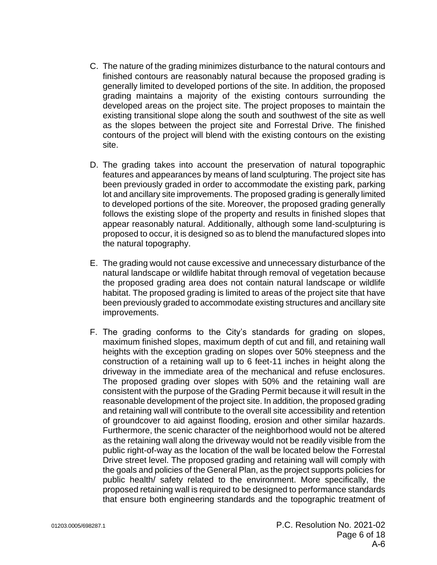- C. The nature of the grading minimizes disturbance to the natural contours and finished contours are reasonably natural because the proposed grading is generally limited to developed portions of the site. In addition, the proposed grading maintains a majority of the existing contours surrounding the developed areas on the project site. The project proposes to maintain the existing transitional slope along the south and southwest of the site as well as the slopes between the project site and Forrestal Drive. The finished contours of the project will blend with the existing contours on the existing site.
- D. The grading takes into account the preservation of natural topographic features and appearances by means of land sculpturing. The project site has been previously graded in order to accommodate the existing park, parking lot and ancillary site improvements. The proposed grading is generally limited to developed portions of the site. Moreover, the proposed grading generally follows the existing slope of the property and results in finished slopes that appear reasonably natural. Additionally, although some land-sculpturing is proposed to occur, it is designed so as to blend the manufactured slopes into the natural topography.
- E. The grading would not cause excessive and unnecessary disturbance of the natural landscape or wildlife habitat through removal of vegetation because the proposed grading area does not contain natural landscape or wildlife habitat. The proposed grading is limited to areas of the project site that have been previously graded to accommodate existing structures and ancillary site improvements.
- F. The grading conforms to the City's standards for grading on slopes, maximum finished slopes, maximum depth of cut and fill, and retaining wall heights with the exception grading on slopes over 50% steepness and the construction of a retaining wall up to 6 feet-11 inches in height along the driveway in the immediate area of the mechanical and refuse enclosures. The proposed grading over slopes with 50% and the retaining wall are consistent with the purpose of the Grading Permit because it will result in the reasonable development of the project site. In addition, the proposed grading and retaining wall will contribute to the overall site accessibility and retention of groundcover to aid against flooding, erosion and other similar hazards. Furthermore, the scenic character of the neighborhood would not be altered as the retaining wall along the driveway would not be readily visible from the public right-of-way as the location of the wall be located below the Forrestal Drive street level. The proposed grading and retaining wall will comply with the goals and policies of the General Plan, as the project supports policies for public health/ safety related to the environment. More specifically, the proposed retaining wall is required to be designed to performance standards that ensure both engineering standards and the topographic treatment of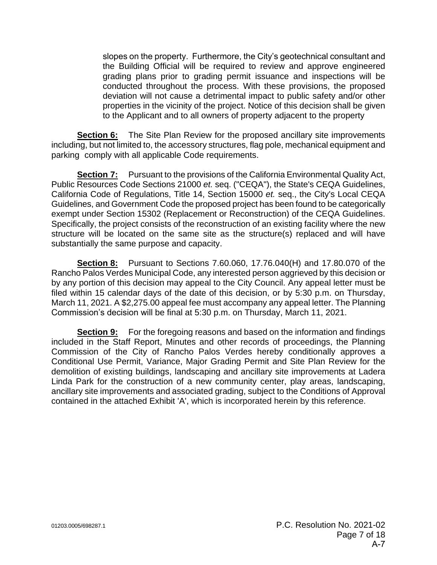slopes on the property. Furthermore, the City's geotechnical consultant and the Building Official will be required to review and approve engineered grading plans prior to grading permit issuance and inspections will be conducted throughout the process. With these provisions, the proposed deviation will not cause a detrimental impact to public safety and/or other properties in the vicinity of the project. Notice of this decision shall be given to the Applicant and to all owners of property adjacent to the property

**Section 6:** The Site Plan Review for the proposed ancillary site improvements including, but not limited to, the accessory structures, flag pole, mechanical equipment and parking comply with all applicable Code requirements.

**Section 7:** Pursuant to the provisions of the California Environmental Quality Act, Public Resources Code Sections 21000 *et.* seq. ("CEQA"), the State's CEQA Guidelines, California Code of Regulations, Title 14, Section 15000 *et.* seq., the City's Local CEQA Guidelines, and Government Code the proposed project has been found to be categorically exempt under Section 15302 (Replacement or Reconstruction) of the CEQA Guidelines. Specifically, the project consists of the reconstruction of an existing facility where the new structure will be located on the same site as the structure(s) replaced and will have substantially the same purpose and capacity.

**Section 8:** Pursuant to Sections 7.60.060, 17.76.040(H) and 17.80.070 of the Rancho Palos Verdes Municipal Code, any interested person aggrieved by this decision or by any portion of this decision may appeal to the City Council. Any appeal letter must be filed within 15 calendar days of the date of this decision, or by 5:30 p.m. on Thursday, March 11, 2021. A \$2,275.00 appeal fee must accompany any appeal letter. The Planning Commission's decision will be final at 5:30 p.m. on Thursday, March 11, 2021.

**Section 9:** For the foregoing reasons and based on the information and findings included in the Staff Report, Minutes and other records of proceedings, the Planning Commission of the City of Rancho Palos Verdes hereby conditionally approves a Conditional Use Permit, Variance, Major Grading Permit and Site Plan Review for the demolition of existing buildings, landscaping and ancillary site improvements at Ladera Linda Park for the construction of a new community center, play areas, landscaping, ancillary site improvements and associated grading, subject to the Conditions of Approval contained in the attached Exhibit 'A', which is incorporated herein by this reference.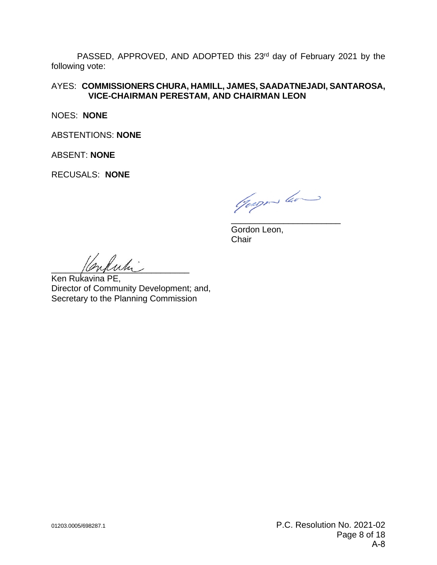PASSED, APPROVED, AND ADOPTED this 23<sup>rd</sup> day of February 2021 by the following vote:

AYES: **COMMISSIONERS CHURA, HAMILL, JAMES, SAADATNEJADI, SANTAROSA, VICE-CHAIRMAN PERESTAM, AND CHAIRMAN LEON**

NOES: **NONE**

ABSTENTIONS: **NONE**

ABSENT: **NONE**

RECUSALS: **NONE**

Goege les

\_\_\_\_\_\_\_\_\_\_\_\_\_\_\_\_\_\_\_\_\_\_\_ Gordon Leon, **Chair** 

 $\ell$ uli

Ken Rukavina PE, Director of Community Development; and, Secretary to the Planning Commission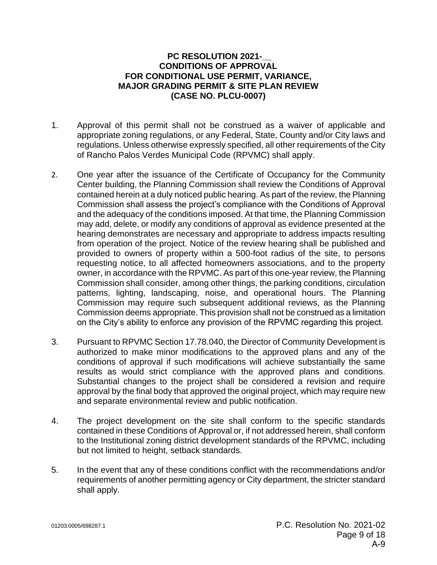# **PC RESOLUTION 2021-\_\_ CONDITIONS OF APPROVAL FOR CONDITIONAL USE PERMIT, VARIANCE, MAJOR GRADING PERMIT & SITE PLAN REVIEW (CASE NO. PLCU-0007)**

- 1. Approval of this permit shall not be construed as a waiver of applicable and appropriate zoning regulations, or any Federal, State, County and/or City laws and regulations. Unless otherwise expressly specified, all other requirements of the City of Rancho Palos Verdes Municipal Code (RPVMC) shall apply.
- 2. One year after the issuance of the Certificate of Occupancy for the Community Center building, the Planning Commission shall review the Conditions of Approval contained herein at a duly noticed public hearing. As part of the review, the Planning Commission shall assess the project's compliance with the Conditions of Approval and the adequacy of the conditions imposed. At that time, the Planning Commission may add, delete, or modify any conditions of approval as evidence presented at the hearing demonstrates are necessary and appropriate to address impacts resulting from operation of the project. Notice of the review hearing shall be published and provided to owners of property within a 500-foot radius of the site, to persons requesting notice, to all affected homeowners associations, and to the property owner, in accordance with the RPVMC. As part of this one-year review, the Planning Commission shall consider, among other things, the parking conditions, circulation patterns, lighting, landscaping, noise, and operational hours. The Planning Commission may require such subsequent additional reviews, as the Planning Commission deems appropriate. This provision shall not be construed as a limitation on the City's ability to enforce any provision of the RPVMC regarding this project.
- 3. Pursuant to RPVMC Section 17.78.040, the Director of Community Development is authorized to make minor modifications to the approved plans and any of the conditions of approval if such modifications will achieve substantially the same results as would strict compliance with the approved plans and conditions. Substantial changes to the project shall be considered a revision and require approval by the final body that approved the original project, which may require new and separate environmental review and public notification.
- 4. The project development on the site shall conform to the specific standards contained in these Conditions of Approval or, if not addressed herein, shall conform to the Institutional zoning district development standards of the RPVMC, including but not limited to height, setback standards.
- 5. In the event that any of these conditions conflict with the recommendations and/or requirements of another permitting agency or City department, the stricter standard shall apply.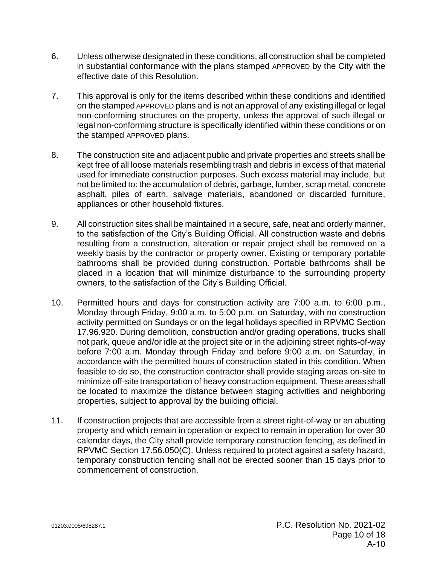- 6. Unless otherwise designated in these conditions, all construction shall be completed in substantial conformance with the plans stamped APPROVED by the City with the effective date of this Resolution.
- 7. This approval is only for the items described within these conditions and identified on the stamped APPROVED plans and is not an approval of any existing illegal or legal non-conforming structures on the property, unless the approval of such illegal or legal non-conforming structure is specifically identified within these conditions or on the stamped APPROVED plans.
- 8. The construction site and adjacent public and private properties and streets shall be kept free of all loose materials resembling trash and debris in excess of that material used for immediate construction purposes. Such excess material may include, but not be limited to: the accumulation of debris, garbage, lumber, scrap metal, concrete asphalt, piles of earth, salvage materials, abandoned or discarded furniture, appliances or other household fixtures.
- 9. All construction sites shall be maintained in a secure, safe, neat and orderly manner, to the satisfaction of the City's Building Official. All construction waste and debris resulting from a construction, alteration or repair project shall be removed on a weekly basis by the contractor or property owner. Existing or temporary portable bathrooms shall be provided during construction. Portable bathrooms shall be placed in a location that will minimize disturbance to the surrounding property owners, to the satisfaction of the City's Building Official.
- 10. Permitted hours and days for construction activity are 7:00 a.m. to 6:00 p.m., Monday through Friday, 9:00 a.m. to 5:00 p.m. on Saturday, with no construction activity permitted on Sundays or on the legal holidays specified in RPVMC Section 17.96.920. During demolition, construction and/or grading operations, trucks shall not park, queue and/or idle at the project site or in the adjoining street rights-of-way before 7:00 a.m. Monday through Friday and before 9:00 a.m. on Saturday, in accordance with the permitted hours of construction stated in this condition. When feasible to do so, the construction contractor shall provide staging areas on-site to minimize off-site transportation of heavy construction equipment. These areas shall be located to maximize the distance between staging activities and neighboring properties, subject to approval by the building official.
- 11. If construction projects that are accessible from a street right-of-way or an abutting property and which remain in operation or expect to remain in operation for over 30 calendar days, the City shall provide temporary construction fencing, as defined in RPVMC Section 17.56.050(C). Unless required to protect against a safety hazard, temporary construction fencing shall not be erected sooner than 15 days prior to commencement of construction.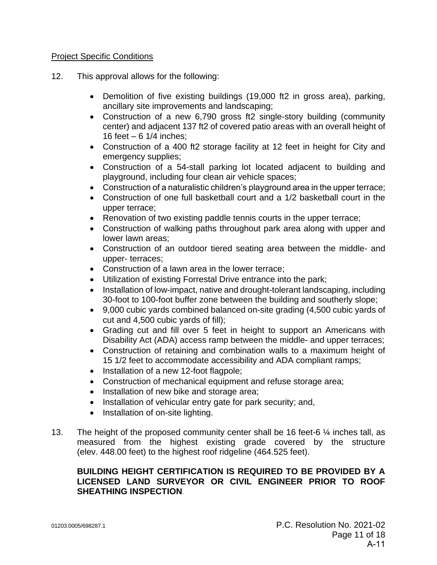# Project Specific Conditions

- 12. This approval allows for the following:
	- Demolition of five existing buildings (19,000 ft2 in gross area), parking, ancillary site improvements and landscaping;
	- Construction of a new 6,790 gross ft2 single-story building (community center) and adjacent 137 ft2 of covered patio areas with an overall height of 16 feet – 6 1/4 inches;
	- Construction of a 400 ft2 storage facility at 12 feet in height for City and emergency supplies;
	- Construction of a 54-stall parking lot located adjacent to building and playground, including four clean air vehicle spaces;
	- Construction of a naturalistic children's playground area in the upper terrace;
	- Construction of one full basketball court and a 1/2 basketball court in the upper terrace;
	- Renovation of two existing paddle tennis courts in the upper terrace;
	- Construction of walking paths throughout park area along with upper and lower lawn areas;
	- Construction of an outdoor tiered seating area between the middle- and upper- terraces;
	- Construction of a lawn area in the lower terrace;
	- Utilization of existing Forrestal Drive entrance into the park;
	- Installation of low-impact, native and drought-tolerant landscaping, including 30-foot to 100-foot buffer zone between the building and southerly slope;
	- 9,000 cubic yards combined balanced on-site grading (4,500 cubic yards of cut and 4,500 cubic yards of fill);
	- Grading cut and fill over 5 feet in height to support an Americans with Disability Act (ADA) access ramp between the middle- and upper terraces;
	- Construction of retaining and combination walls to a maximum height of 15 1/2 feet to accommodate accessibility and ADA compliant ramps;
	- Installation of a new 12-foot flagpole;
	- Construction of mechanical equipment and refuse storage area;
	- Installation of new bike and storage area;
	- Installation of vehicular entry gate for park security; and,
	- Installation of on-site lighting.
- 13. The height of the proposed community center shall be 16 feet-6 ¼ inches tall, as measured from the highest existing grade covered by the structure (elev. 448.00 feet) to the highest roof ridgeline (464.525 feet).

# **BUILDING HEIGHT CERTIFICATION IS REQUIRED TO BE PROVIDED BY A LICENSED LAND SURVEYOR OR CIVIL ENGINEER PRIOR TO ROOF SHEATHING INSPECTION**.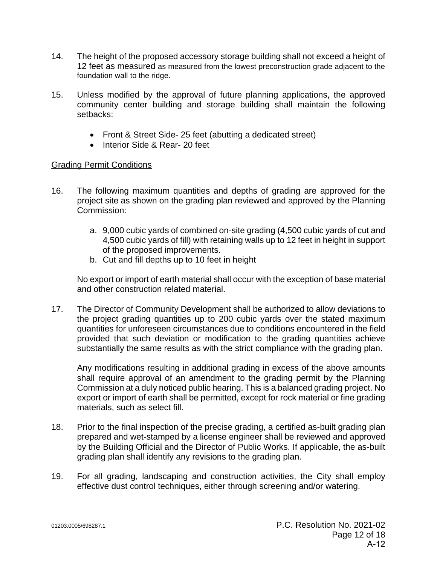- 14. The height of the proposed accessory storage building shall not exceed a height of 12 feet as measured as measured from the lowest preconstruction grade adjacent to the foundation wall to the ridge.
- 15. Unless modified by the approval of future planning applications, the approved community center building and storage building shall maintain the following setbacks:
	- Front & Street Side- 25 feet (abutting a dedicated street)
	- Interior Side & Rear- 20 feet

# Grading Permit Conditions

- 16. The following maximum quantities and depths of grading are approved for the project site as shown on the grading plan reviewed and approved by the Planning Commission:
	- a. 9,000 cubic yards of combined on-site grading (4,500 cubic yards of cut and 4,500 cubic yards of fill) with retaining walls up to 12 feet in height in support of the proposed improvements.
	- b. Cut and fill depths up to 10 feet in height

No export or import of earth material shall occur with the exception of base material and other construction related material.

17. The Director of Community Development shall be authorized to allow deviations to the project grading quantities up to 200 cubic yards over the stated maximum quantities for unforeseen circumstances due to conditions encountered in the field provided that such deviation or modification to the grading quantities achieve substantially the same results as with the strict compliance with the grading plan.

Any modifications resulting in additional grading in excess of the above amounts shall require approval of an amendment to the grading permit by the Planning Commission at a duly noticed public hearing. This is a balanced grading project. No export or import of earth shall be permitted, except for rock material or fine grading materials, such as select fill.

- 18. Prior to the final inspection of the precise grading, a certified as-built grading plan prepared and wet-stamped by a license engineer shall be reviewed and approved by the Building Official and the Director of Public Works. If applicable, the as-built grading plan shall identify any revisions to the grading plan.
- 19. For all grading, landscaping and construction activities, the City shall employ effective dust control techniques, either through screening and/or watering.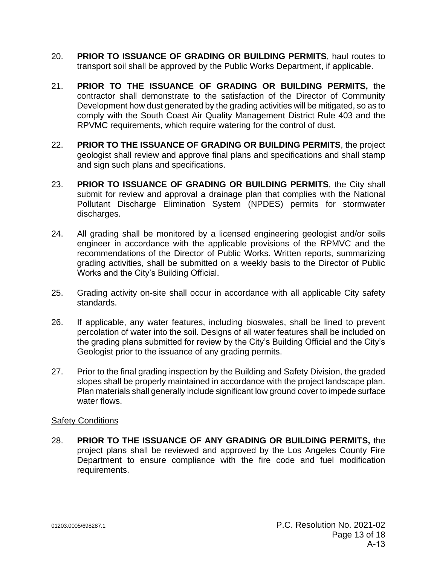- 20. **PRIOR TO ISSUANCE OF GRADING OR BUILDING PERMITS**, haul routes to transport soil shall be approved by the Public Works Department, if applicable.
- 21. **PRIOR TO THE ISSUANCE OF GRADING OR BUILDING PERMITS,** the contractor shall demonstrate to the satisfaction of the Director of Community Development how dust generated by the grading activities will be mitigated, so as to comply with the South Coast Air Quality Management District Rule 403 and the RPVMC requirements, which require watering for the control of dust.
- 22. **PRIOR TO THE ISSUANCE OF GRADING OR BUILDING PERMITS**, the project geologist shall review and approve final plans and specifications and shall stamp and sign such plans and specifications.
- 23. **PRIOR TO ISSUANCE OF GRADING OR BUILDING PERMITS**, the City shall submit for review and approval a drainage plan that complies with the National Pollutant Discharge Elimination System (NPDES) permits for stormwater discharges.
- 24. All grading shall be monitored by a licensed engineering geologist and/or soils engineer in accordance with the applicable provisions of the RPMVC and the recommendations of the Director of Public Works. Written reports, summarizing grading activities, shall be submitted on a weekly basis to the Director of Public Works and the City's Building Official.
- 25. Grading activity on-site shall occur in accordance with all applicable City safety standards.
- 26. If applicable, any water features, including bioswales, shall be lined to prevent percolation of water into the soil. Designs of all water features shall be included on the grading plans submitted for review by the City's Building Official and the City's Geologist prior to the issuance of any grading permits.
- 27. Prior to the final grading inspection by the Building and Safety Division, the graded slopes shall be properly maintained in accordance with the project landscape plan. Plan materials shall generally include significant low ground cover to impede surface water flows.

# Safety Conditions

28. **PRIOR TO THE ISSUANCE OF ANY GRADING OR BUILDING PERMITS,** the project plans shall be reviewed and approved by the Los Angeles County Fire Department to ensure compliance with the fire code and fuel modification requirements.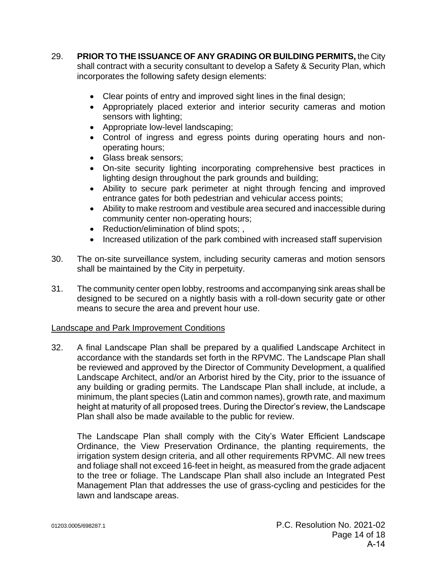- 29. **PRIOR TO THE ISSUANCE OF ANY GRADING OR BUILDING PERMITS,** the City shall contract with a security consultant to develop a Safety & Security Plan, which incorporates the following safety design elements:
	- Clear points of entry and improved sight lines in the final design;
	- Appropriately placed exterior and interior security cameras and motion sensors with lighting;
	- Appropriate low-level landscaping;
	- Control of ingress and egress points during operating hours and nonoperating hours;
	- Glass break sensors;
	- On-site security lighting incorporating comprehensive best practices in lighting design throughout the park grounds and building;
	- Ability to secure park perimeter at night through fencing and improved entrance gates for both pedestrian and vehicular access points;
	- Ability to make restroom and vestibule area secured and inaccessible during community center non-operating hours;
	- Reduction/elimination of blind spots; ,
	- Increased utilization of the park combined with increased staff supervision
- 30. The on-site surveillance system, including security cameras and motion sensors shall be maintained by the City in perpetuity.
- 31. The community center open lobby, restrooms and accompanying sink areas shall be designed to be secured on a nightly basis with a roll-down security gate or other means to secure the area and prevent hour use.

# Landscape and Park Improvement Conditions

32. A final Landscape Plan shall be prepared by a qualified Landscape Architect in accordance with the standards set forth in the RPVMC. The Landscape Plan shall be reviewed and approved by the Director of Community Development, a qualified Landscape Architect, and/or an Arborist hired by the City, prior to the issuance of any building or grading permits. The Landscape Plan shall include, at include, a minimum, the plant species (Latin and common names), growth rate, and maximum height at maturity of all proposed trees. During the Director's review, the Landscape Plan shall also be made available to the public for review.

The Landscape Plan shall comply with the City's Water Efficient Landscape Ordinance, the View Preservation Ordinance, the planting requirements, the irrigation system design criteria, and all other requirements RPVMC. All new trees and foliage shall not exceed 16-feet in height, as measured from the grade adjacent to the tree or foliage. The Landscape Plan shall also include an Integrated Pest Management Plan that addresses the use of grass-cycling and pesticides for the lawn and landscape areas.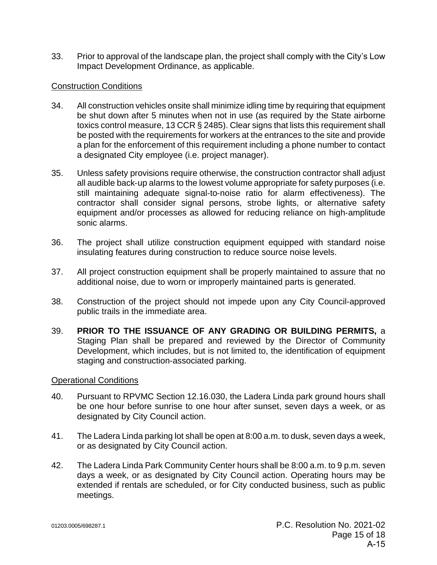33. Prior to approval of the landscape plan, the project shall comply with the City's Low Impact Development Ordinance, as applicable.

#### Construction Conditions

- 34. All construction vehicles onsite shall minimize idling time by requiring that equipment be shut down after 5 minutes when not in use (as required by the State airborne toxics control measure, 13 CCR § 2485). Clear signs that lists this requirement shall be posted with the requirements for workers at the entrances to the site and provide a plan for the enforcement of this requirement including a phone number to contact a designated City employee (i.e. project manager).
- 35. Unless safety provisions require otherwise, the construction contractor shall adjust all audible back‐up alarms to the lowest volume appropriate for safety purposes (i.e. still maintaining adequate signal‐to‐noise ratio for alarm effectiveness). The contractor shall consider signal persons, strobe lights, or alternative safety equipment and/or processes as allowed for reducing reliance on high‐amplitude sonic alarms.
- 36. The project shall utilize construction equipment equipped with standard noise insulating features during construction to reduce source noise levels.
- 37. All project construction equipment shall be properly maintained to assure that no additional noise, due to worn or improperly maintained parts is generated.
- 38. Construction of the project should not impede upon any City Council-approved public trails in the immediate area.
- 39. **PRIOR TO THE ISSUANCE OF ANY GRADING OR BUILDING PERMITS,** a Staging Plan shall be prepared and reviewed by the Director of Community Development, which includes, but is not limited to, the identification of equipment staging and construction-associated parking.

#### Operational Conditions

- 40. Pursuant to RPVMC Section 12.16.030, the Ladera Linda park ground hours shall be one hour before sunrise to one hour after sunset, seven days a week, or as designated by City Council action.
- 41. The Ladera Linda parking lot shall be open at 8:00 a.m. to dusk, seven days a week, or as designated by City Council action.
- 42. The Ladera Linda Park Community Center hours shall be 8:00 a.m. to 9 p.m. seven days a week, or as designated by City Council action. Operating hours may be extended if rentals are scheduled, or for City conducted business, such as public meetings.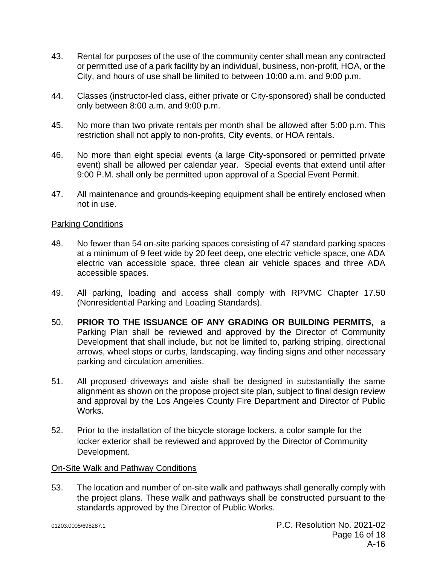- 43. Rental for purposes of the use of the community center shall mean any contracted or permitted use of a park facility by an individual, business, non-profit, HOA, or the City, and hours of use shall be limited to between 10:00 a.m. and 9:00 p.m.
- 44. Classes (instructor-led class, either private or City-sponsored) shall be conducted only between 8:00 a.m. and 9:00 p.m.
- 45. No more than two private rentals per month shall be allowed after 5:00 p.m. This restriction shall not apply to non-profits, City events, or HOA rentals.
- 46. No more than eight special events (a large City-sponsored or permitted private event) shall be allowed per calendar year. Special events that extend until after 9:00 P.M. shall only be permitted upon approval of a Special Event Permit.
- 47. All maintenance and grounds-keeping equipment shall be entirely enclosed when not in use.

#### Parking Conditions

- 48. No fewer than 54 on-site parking spaces consisting of 47 standard parking spaces at a minimum of 9 feet wide by 20 feet deep, one electric vehicle space, one ADA electric van accessible space, three clean air vehicle spaces and three ADA accessible spaces.
- 49. All parking, loading and access shall comply with RPVMC Chapter 17.50 (Nonresidential Parking and Loading Standards).
- 50. **PRIOR TO THE ISSUANCE OF ANY GRADING OR BUILDING PERMITS,** a Parking Plan shall be reviewed and approved by the Director of Community Development that shall include, but not be limited to, parking striping, directional arrows, wheel stops or curbs, landscaping, way finding signs and other necessary parking and circulation amenities.
- 51. All proposed driveways and aisle shall be designed in substantially the same alignment as shown on the propose project site plan, subject to final design review and approval by the Los Angeles County Fire Department and Director of Public Works.
- 52. Prior to the installation of the bicycle storage lockers, a color sample for the locker exterior shall be reviewed and approved by the Director of Community Development.

# On-Site Walk and Pathway Conditions

53. The location and number of on-site walk and pathways shall generally comply with the project plans. These walk and pathways shall be constructed pursuant to the standards approved by the Director of Public Works.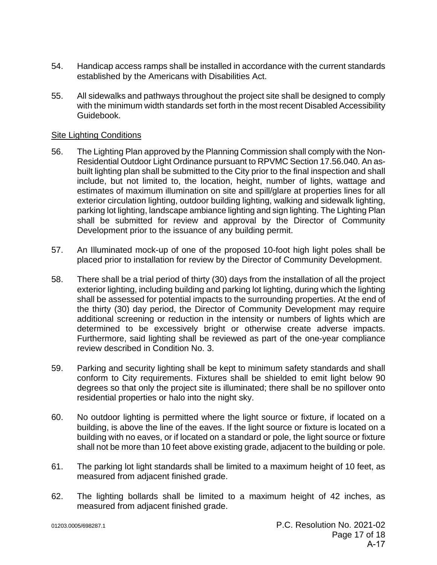- 54. Handicap access ramps shall be installed in accordance with the current standards established by the Americans with Disabilities Act.
- 55. All sidewalks and pathways throughout the project site shall be designed to comply with the minimum width standards set forth in the most recent Disabled Accessibility Guidebook.

#### Site Lighting Conditions

- 56. The Lighting Plan approved by the Planning Commission shall comply with the Non-Residential Outdoor Light Ordinance pursuant to RPVMC Section 17.56.040. An asbuilt lighting plan shall be submitted to the City prior to the final inspection and shall include, but not limited to, the location, height, number of lights, wattage and estimates of maximum illumination on site and spill/glare at properties lines for all exterior circulation lighting, outdoor building lighting, walking and sidewalk lighting, parking lot lighting, landscape ambiance lighting and sign lighting. The Lighting Plan shall be submitted for review and approval by the Director of Community Development prior to the issuance of any building permit.
- 57. An Illuminated mock-up of one of the proposed 10-foot high light poles shall be placed prior to installation for review by the Director of Community Development.
- 58. There shall be a trial period of thirty (30) days from the installation of all the project exterior lighting, including building and parking lot lighting, during which the lighting shall be assessed for potential impacts to the surrounding properties. At the end of the thirty (30) day period, the Director of Community Development may require additional screening or reduction in the intensity or numbers of lights which are determined to be excessively bright or otherwise create adverse impacts. Furthermore, said lighting shall be reviewed as part of the one-year compliance review described in Condition No. 3.
- 59. Parking and security lighting shall be kept to minimum safety standards and shall conform to City requirements. Fixtures shall be shielded to emit light below 90 degrees so that only the project site is illuminated; there shall be no spillover onto residential properties or halo into the night sky.
- 60. No outdoor lighting is permitted where the light source or fixture, if located on a building, is above the line of the eaves. If the light source or fixture is located on a building with no eaves, or if located on a standard or pole, the light source or fixture shall not be more than 10 feet above existing grade, adjacent to the building or pole.
- 61. The parking lot light standards shall be limited to a maximum height of 10 feet, as measured from adjacent finished grade.
- 62. The lighting bollards shall be limited to a maximum height of 42 inches, as measured from adjacent finished grade.